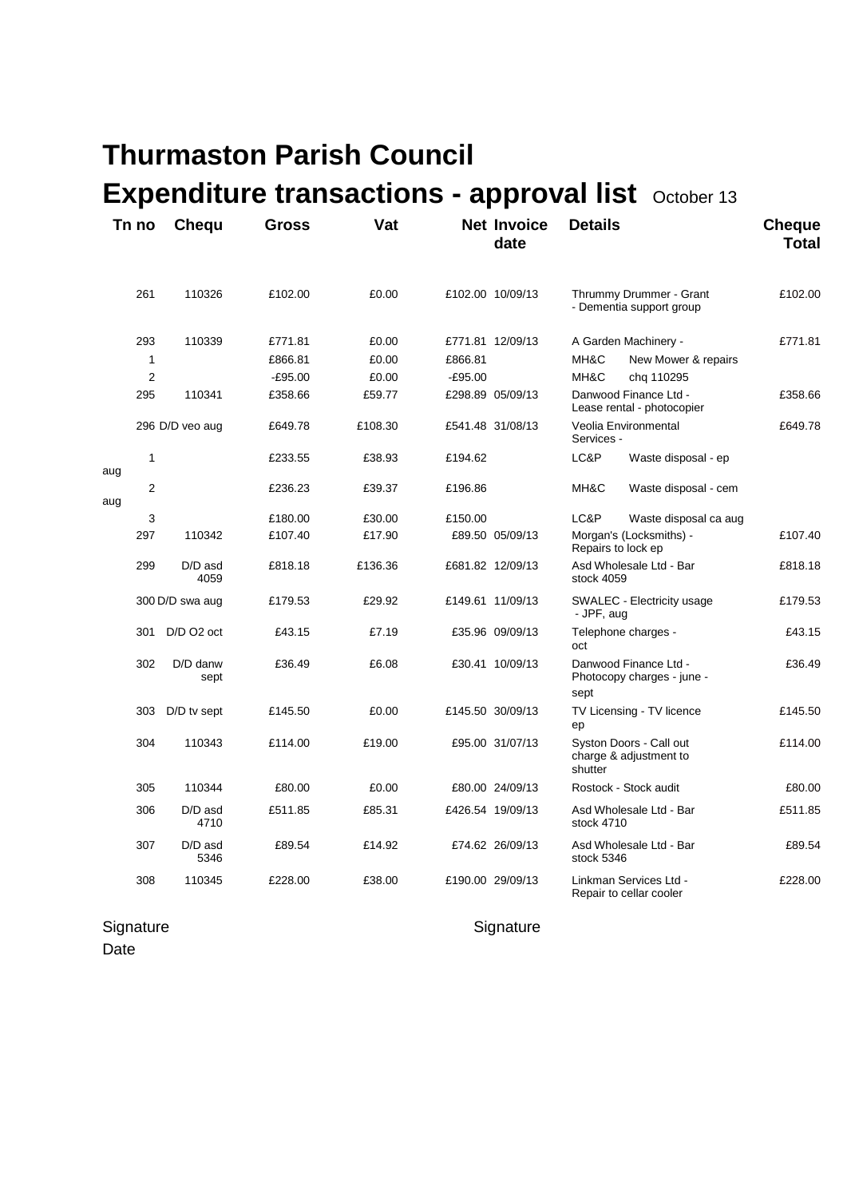## **Thurmaston Parish Council Expenditure transactions - approval list** October 13

|     | Tn no          | <b>Chequ</b>      | Gross     | Vat     |           | <b>Net Invoice</b><br>date | <b>Details</b> |                                                     | <b>Cheque</b><br><b>Total</b> |
|-----|----------------|-------------------|-----------|---------|-----------|----------------------------|----------------|-----------------------------------------------------|-------------------------------|
|     | 261            | 110326            | £102.00   | £0.00   |           | £102.00 10/09/13           |                | Thrummy Drummer - Grant<br>- Dementia support group | £102.00                       |
|     | 293            | 110339            | £771.81   | £0.00   |           | £771.81 12/09/13           |                | A Garden Machinery -                                | £771.81                       |
|     | 1              |                   | £866.81   | £0.00   | £866.81   |                            | MH&C           | New Mower & repairs                                 |                               |
|     | $\overline{2}$ |                   | $-£95.00$ | £0.00   | $-£95.00$ |                            | MH&C           | chg 110295                                          |                               |
|     | 295            | 110341            | £358.66   | £59.77  |           | £298.89 05/09/13           |                | Danwood Finance Ltd -<br>Lease rental - photocopier | £358.66                       |
|     |                | 296 D/D veo aug   | £649.78   | £108.30 |           | £541.48 31/08/13           | Services -     | Veolia Environmental                                | £649.78                       |
| aug | 1              |                   | £233.55   | £38.93  | £194.62   |                            | LC&P           | Waste disposal - ep                                 |                               |
| aug | $\overline{2}$ |                   | £236.23   | £39.37  | £196.86   |                            | MH&C           | Waste disposal - cem                                |                               |
|     | 3              |                   | £180.00   | £30.00  | £150.00   |                            | LC&P           | Waste disposal ca aug                               |                               |
|     | 297            | 110342            | £107.40   | £17.90  |           | £89.50 05/09/13            |                | Morgan's (Locksmiths) -<br>Repairs to lock ep       | £107.40                       |
|     | 299            | D/D asd<br>4059   | £818.18   | £136.36 |           | £681.82 12/09/13           | stock 4059     | Asd Wholesale Ltd - Bar                             | £818.18                       |
|     |                | 300 D/D swa aug   | £179.53   | £29.92  |           | £149.61 11/09/13           | - JPF, aug     | SWALEC - Electricity usage                          | £179.53                       |
|     | 301            | D/D O2 oct        | £43.15    | £7.19   |           | £35.96 09/09/13            | oct            | Telephone charges -                                 | £43.15                        |
|     | 302            | D/D danw<br>sept  | £36.49    | £6.08   |           | £30.41 10/09/13            | sept           | Danwood Finance Ltd -<br>Photocopy charges - june - | £36.49                        |
|     | 303            | D/D tv sept       | £145.50   | £0.00   |           | £145.50 30/09/13           | ep             | TV Licensing - TV licence                           | £145.50                       |
|     | 304            | 110343            | £114.00   | £19.00  |           | £95.00 31/07/13            | shutter        | Syston Doors - Call out<br>charge & adjustment to   | £114.00                       |
|     | 305            | 110344            | £80.00    | £0.00   |           | £80.00 24/09/13            |                | Rostock - Stock audit                               | £80.00                        |
|     | 306            | $D/D$ asd<br>4710 | £511.85   | £85.31  |           | £426.54 19/09/13           | stock 4710     | Asd Wholesale Ltd - Bar                             | £511.85                       |
|     | 307            | D/D asd<br>5346   | £89.54    | £14.92  |           | £74.62 26/09/13            | stock 5346     | Asd Wholesale Ltd - Bar                             | £89.54                        |
|     | 308            | 110345            | £228.00   | £38.00  |           | £190.00 29/09/13           |                | Linkman Services Ltd -<br>Repair to cellar cooler   | £228.00                       |

Signature Signature Signature Date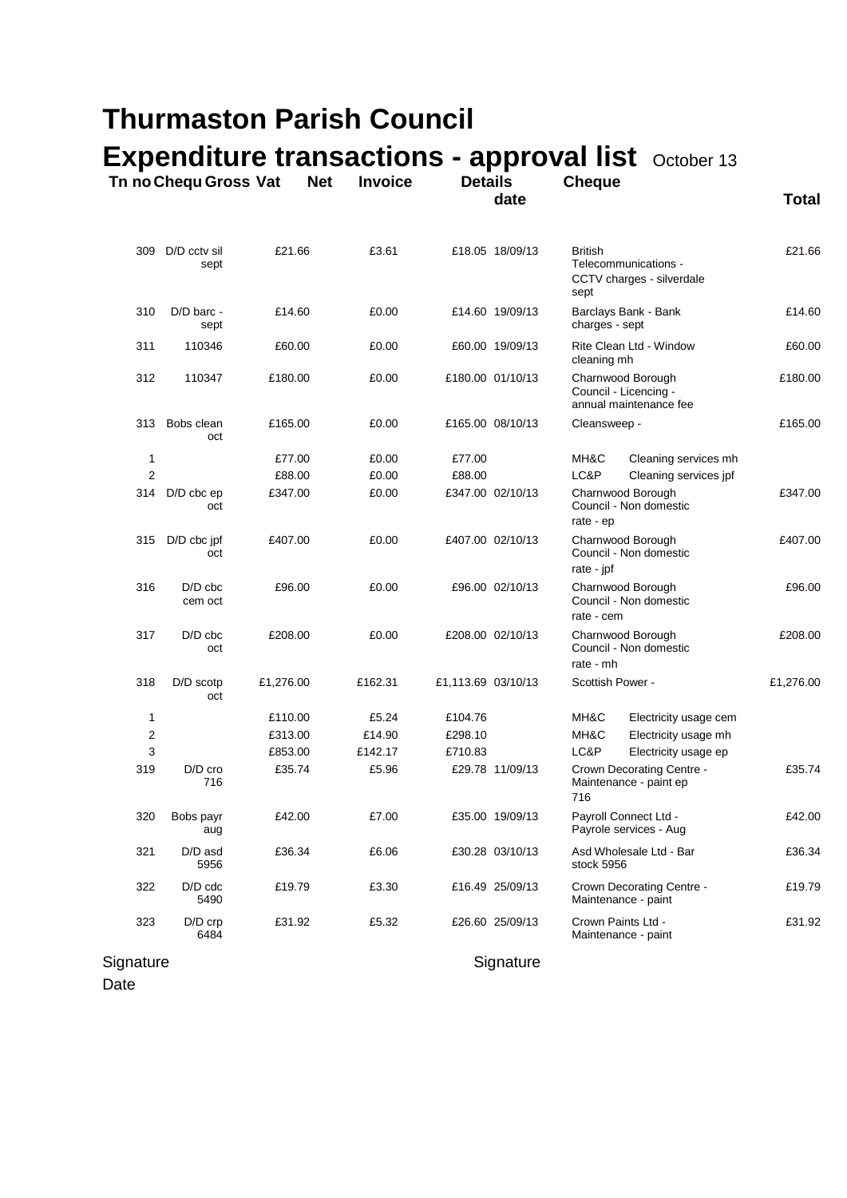| <b>Thurmaston Parish Council</b> |                       |            |                |                    |                  |                                                                             |           |  |  |
|----------------------------------|-----------------------|------------|----------------|--------------------|------------------|-----------------------------------------------------------------------------|-----------|--|--|
|                                  |                       |            |                |                    |                  | <b>Expenditure transactions - approval list</b> October 13                  |           |  |  |
|                                  | Tn no Chequ Gross Vat | <b>Net</b> | <b>Invoice</b> | <b>Details</b>     | date             | <b>Cheque</b>                                                               | Total     |  |  |
|                                  |                       |            |                |                    |                  |                                                                             |           |  |  |
| 309                              | D/D cctv sil<br>sept  | £21.66     | £3.61          |                    | £18.05 18/09/13  | <b>British</b><br>Telecommunications -<br>CCTV charges - silverdale<br>sept | £21.66    |  |  |
| 310                              | D/D barc -<br>sept    | £14.60     | £0.00          |                    | £14.60 19/09/13  | Barclays Bank - Bank<br>charges - sept                                      | £14.60    |  |  |
| 311                              | 110346                | £60.00     | £0.00          |                    | £60.00 19/09/13  | Rite Clean Ltd - Window<br>cleaning mh                                      | £60.00    |  |  |
| 312                              | 110347                | £180.00    | £0.00          |                    | £180.00 01/10/13 | Charnwood Borough<br>Council - Licencing -<br>annual maintenance fee        | £180.00   |  |  |
| 313                              | Bobs clean<br>oct     | £165.00    | £0.00          |                    | £165.00 08/10/13 | Cleansweep -                                                                | £165.00   |  |  |
| 1                                |                       | £77.00     | £0.00          | £77.00             |                  | MH&C<br>Cleaning services mh                                                |           |  |  |
| $\overline{c}$                   |                       | £88.00     | £0.00          | £88.00             |                  | LC&P<br>Cleaning services jpf                                               |           |  |  |
| 314                              | $D/D$ cbc $ep$<br>oct | £347.00    | £0.00          |                    | £347.00 02/10/13 | Charnwood Borough<br>Council - Non domestic<br>rate - ep                    | £347.00   |  |  |
| 315                              | D/D cbc jpf<br>oct    | £407.00    | £0.00          |                    | £407.00 02/10/13 | Charnwood Borough<br>Council - Non domestic<br>rate - jpf                   | £407.00   |  |  |
| 316                              | $D/D$ cbc<br>cem oct  | £96.00     | £0.00          |                    | £96.00 02/10/13  | Charnwood Borough<br>Council - Non domestic<br>rate - cem                   | £96.00    |  |  |
| 317                              | $D/D$ cbc<br>oct      | £208.00    | £0.00          |                    | £208.00 02/10/13 | Charnwood Borough<br>Council - Non domestic<br>rate - mh                    | £208.00   |  |  |
| 318                              | D/D scotp<br>oct      | £1,276.00  | £162.31        | £1,113.69 03/10/13 |                  | Scottish Power -                                                            | £1,276.00 |  |  |
| $\mathbf{1}$                     |                       | £110.00    | £5.24          | £104.76            |                  | MH&C<br>Electricity usage cem                                               |           |  |  |
| 2                                |                       | £313.00    | £14.90         | £298.10            |                  | MH&C<br>Electricity usage mh                                                |           |  |  |
| 3                                |                       | £853.00    | £142.17        | £710.83            |                  | LC&P<br>Electricity usage ep                                                |           |  |  |
| 319                              | D/D cro<br>716        | £35.74     | £5.96          |                    | £29.78 11/09/13  | Crown Decorating Centre -<br>Maintenance - paint ep<br>716                  | £35.74    |  |  |
| 320                              | Bobs payr<br>aug      | £42.00     | £7.00          |                    | £35.00 19/09/13  | Payroll Connect Ltd -<br>Payrole services - Aug                             | £42.00    |  |  |

Signature Signature Signature

Date

321 D/D asd £36.34 £6.06 £30.28 03/10/13 Asd Wholesale Ltd - Bar £36.34

322 D/D cdc £19.79 £3.30 £16.49 25/09/13 Crown Decorating Centre - £19.79

323 D/D crp £31.92 £5.32 £26.60 25/09/13 Crown Paints Ltd - £31.92

5956 stock 5956

5490 Maintenance - paint

6484 Maintenance - paint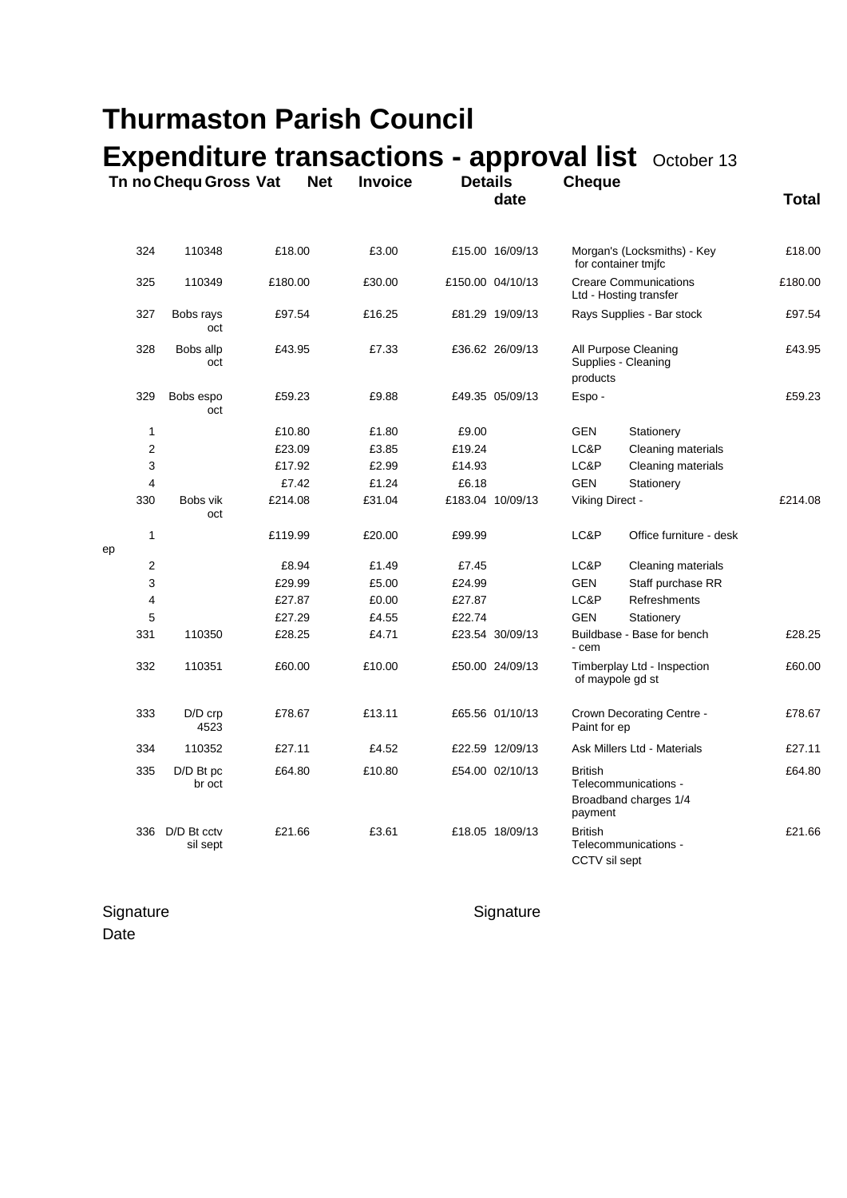| <b>Thurmaston Parish Council</b> |                         |            |                |                |                  |                                                                            |                                                            |              |  |
|----------------------------------|-------------------------|------------|----------------|----------------|------------------|----------------------------------------------------------------------------|------------------------------------------------------------|--------------|--|
|                                  | Tn no Chequ Gross Vat   | <b>Net</b> | <b>Invoice</b> | <b>Details</b> | date             | <b>Cheque</b>                                                              | <b>Expenditure transactions - approval list</b> October 13 | <b>Total</b> |  |
| 324                              | 110348                  | £18.00     | £3.00          |                | £15.00 16/09/13  | for container tmjfc                                                        | Morgan's (Locksmiths) - Key                                | £18.00       |  |
| 325                              | 110349                  | £180.00    | £30.00         |                | £150.00 04/10/13 |                                                                            | <b>Creare Communications</b><br>Ltd - Hosting transfer     | £180.00      |  |
| 327                              | Bobs rays<br>oct        | £97.54     | £16.25         |                | £81.29 19/09/13  |                                                                            | Rays Supplies - Bar stock                                  | £97.54       |  |
| 328                              | Bobs allp<br>oct        | £43.95     | £7.33          |                | £36.62 26/09/13  | Supplies - Cleaning<br>products                                            | All Purpose Cleaning                                       | £43.95       |  |
| 329                              | Bobs espo<br>oct        | £59.23     | £9.88          |                | £49.35 05/09/13  | Espo-                                                                      |                                                            | £59.23       |  |
| 1                                |                         | £10.80     | £1.80          | £9.00          |                  | GEN                                                                        | Stationery                                                 |              |  |
| 2                                |                         | £23.09     | £3.85          | £19.24         |                  | LC&P                                                                       | Cleaning materials                                         |              |  |
| 3                                |                         | £17.92     | £2.99          | £14.93         |                  | LC&P                                                                       | Cleaning materials                                         |              |  |
| 4                                |                         | £7.42      | £1.24          | £6.18          |                  | <b>GEN</b>                                                                 | Stationery                                                 |              |  |
| 330                              | Bobs vik<br>oct         | £214.08    | £31.04         |                | £183.04 10/09/13 | Viking Direct -                                                            |                                                            | £214.08      |  |
| 1<br>ep                          |                         | £119.99    | £20.00         | £99.99         |                  | LC&P                                                                       | Office furniture - desk                                    |              |  |
| 2                                |                         | £8.94      | £1.49          | £7.45          |                  | LC&P                                                                       | Cleaning materials                                         |              |  |
| 3                                |                         | £29.99     | £5.00          | £24.99         |                  | <b>GEN</b>                                                                 | Staff purchase RR                                          |              |  |
| 4                                |                         | £27.87     | £0.00          | £27.87         |                  | LC&P                                                                       | Refreshments                                               |              |  |
| 5                                |                         | £27.29     | £4.55          | £22.74         |                  | <b>GEN</b>                                                                 | Stationery                                                 |              |  |
| 331                              | 110350                  | £28.25     | £4.71          |                | £23.54 30/09/13  | - cem                                                                      | Buildbase - Base for bench                                 | £28.25       |  |
| 332                              | 110351                  | £60.00     | £10.00         |                | £50.00 24/09/13  | of maypole gd st                                                           | Timberplay Ltd - Inspection                                | £60.00       |  |
| 333                              | $D/D$ crp<br>4523       | £78.67     | £13.11         |                | £65.56 01/10/13  | Paint for ep                                                               | Crown Decorating Centre -                                  | £78.67       |  |
| 334                              | 110352                  | £27.11     | £4.52          |                | £22.59 12/09/13  |                                                                            | Ask Millers Ltd - Materials                                | £27.11       |  |
| 335                              | D/D Bt pc<br>br oct     | £64.80     | £10.80         |                | £54.00 02/10/13  | <b>British</b><br>Telecommunications -<br>Broadband charges 1/4<br>payment |                                                            | £64.80       |  |
| 336                              | D/D Bt cctv<br>sil sept | £21.66     | £3.61          |                | £18.05 18/09/13  | <b>British</b><br>CCTV sil sept                                            | Telecommunications -                                       | £21.66       |  |

Signature Signature Signature **Date**